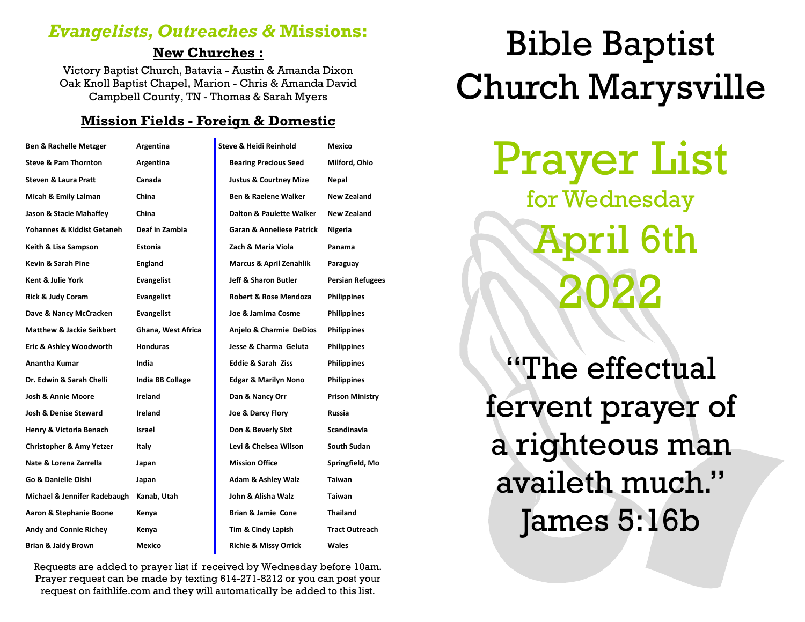# *Evangelists, Outreaches &* **Missions:**

#### **New Churches :**

Victory Baptist Church, Batavia - Austin & Amanda Dixon Oak Knoll Baptist Chapel, Marion - Chris & Amanda David Campbell County, TN - Thomas & Sarah Myers

#### **Mission Fields - Foreign & Domestic**

| <b>Ben &amp; Rachelle Metzger</b>    | Argentina               | Steve & Heidi Reinhold               | Mexico                  |
|--------------------------------------|-------------------------|--------------------------------------|-------------------------|
| <b>Steve &amp; Pam Thornton</b>      | Argentina               | <b>Bearing Precious Seed</b>         | Milford, Ohio           |
| <b>Steven &amp; Laura Pratt</b>      | Canada                  | <b>Justus &amp; Courtney Mize</b>    | Nepal                   |
| Micah & Emily Lalman                 | China                   | <b>Ben &amp; Raelene Walker</b>      | New Zealand             |
| Jason & Stacie Mahaffey              | China                   | Dalton & Paulette Walker             | New Zealand             |
| Yohannes & Kiddist Getaneh           | Deaf in Zambia          | <b>Garan &amp; Anneliese Patrick</b> | Nigeria                 |
| Keith & Lisa Sampson                 | Estonia                 | Zach & Maria Viola                   | Panama                  |
| Kevin & Sarah Pine                   | <b>England</b>          | <b>Marcus &amp; April Zenahlik</b>   | Paraguay                |
| Kent & Julie York                    | <b>Evangelist</b>       | Jeff & Sharon Butler                 | <b>Persian Refugees</b> |
| Rick & Judy Coram                    | <b>Evangelist</b>       | <b>Robert &amp; Rose Mendoza</b>     | <b>Philippines</b>      |
| Dave & Nancy McCracken               | Evangelist              | Joe & Jamima Cosme                   | <b>Philippines</b>      |
| <b>Matthew &amp; Jackie Seikbert</b> | Ghana, West Africa      | Anjelo & Charmie DeDios              | <b>Philippines</b>      |
| Eric & Ashley Woodworth              | <b>Honduras</b>         | Jesse & Charma Geluta                | <b>Philippines</b>      |
| <b>Anantha Kumar</b>                 | India                   | <b>Eddie &amp; Sarah Ziss</b>        | <b>Philippines</b>      |
| Dr. Edwin & Sarah Chelli             | <b>India BB Collage</b> | <b>Edgar &amp; Marilyn Nono</b>      | <b>Philippines</b>      |
| <b>Josh &amp; Annie Moore</b>        | Ireland                 | Dan & Nancy Orr                      | <b>Prison Ministry</b>  |
| <b>Josh &amp; Denise Steward</b>     | Ireland                 | Joe & Darcy Flory                    | Russia                  |
| Henry & Victoria Benach              | Israel                  | Don & Beverly Sixt                   | Scandinavia             |
| <b>Christopher &amp; Amy Yetzer</b>  | Italy                   | Levi & Chelsea Wilson                | South Sudan             |
| Nate & Lorena Zarrella               | Japan                   | <b>Mission Office</b>                | Springfield, Mo         |
| Go & Danielle Oishi                  | Japan                   | <b>Adam &amp; Ashley Walz</b>        | Taiwan                  |
| Michael & Jennifer Radebaugh         | Kanab, Utah             | John & Alisha Walz                   | <b>Taiwan</b>           |
| Aaron & Stephanie Boone              | Kenya                   | Brian & Jamie Cone                   | <b>Thailand</b>         |
| <b>Andy and Connie Richey</b>        | Kenya                   | Tim & Cindy Lapish                   | <b>Tract Outreach</b>   |
| <b>Brian &amp; Jaidy Brown</b>       | Mexico                  | <b>Richie &amp; Missy Orrick</b>     | Wales                   |

Requests are added to prayer list if received by Wednesday before 10am. Prayer request can be made by texting 614-271-8212 or you can post your request on faithlife.com and they will automatically be added to this list.

# Bible Baptist Church Marysville

Prayer List for Wednesday  $r$ il 6th 2022

"The effectual fervent prayer of a righteous man availeth much." James 5:16b